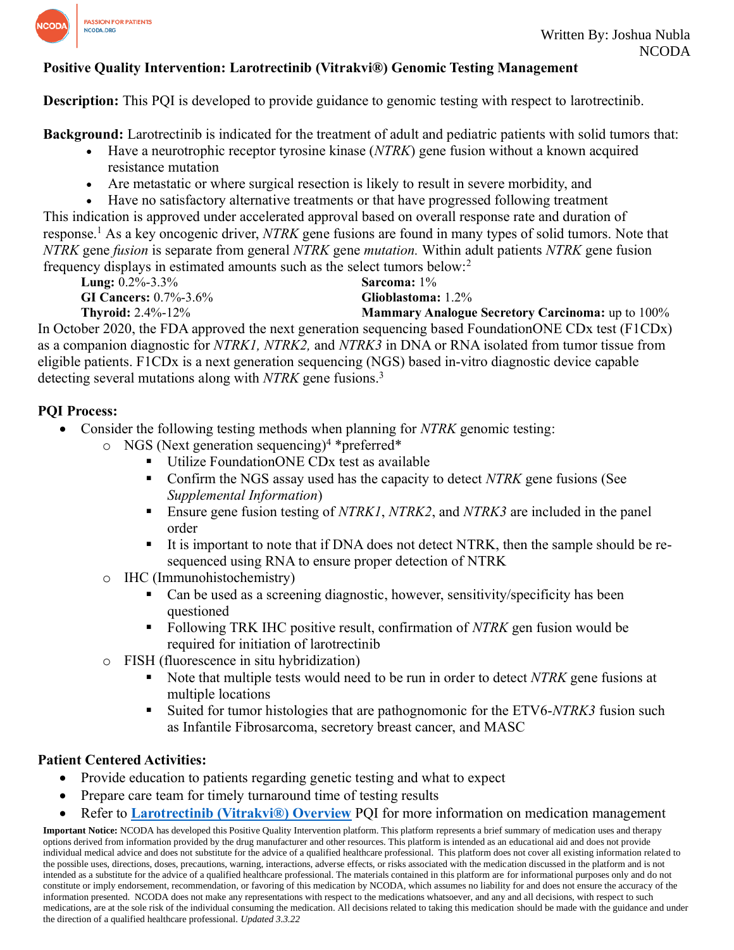

# **Positive Quality Intervention: Larotrectinib (Vitrakvi®) Genomic Testing Management**

**Description:** This PQI is developed to provide guidance to genomic testing with respect to larotrectinib.

**Background:** Larotrectinib is indicated for the treatment of adult and pediatric patients with solid tumors that:

- Have a neurotrophic receptor tyrosine kinase (*NTRK*) gene fusion without a known acquired resistance mutation
- Are metastatic or where surgical resection is likely to result in severe morbidity, and
- Have no satisfactory alternative treatments or that have progressed following treatment

This indication is approved under accelerated approval based on overall response rate and duration of response.<sup>1</sup> As a key oncogenic driver, *NTRK* gene fusions are found in many types of solid tumors. Note that *NTRK* gene *fusion* is separate from general *NTRK* gene *mutation.* Within adult patients *NTRK* gene fusion frequency displays in estimated amounts such as the select tumors below:<sup>2</sup>

**Lung:** 0.2%-3.3% **GI Cancers:** 0.7%-3.6%

**Sarcoma:** 1% **Glioblastoma:** 1.2%

**Mammary Analogue Secretory Carcinoma:** up to 100%

**Thyroid:** 2.4%-12% In October 2020, the FDA approved the next generation sequencing based FoundationONE CDx test (F1CDx) as a companion diagnostic for *NTRK1, NTRK2,* and *NTRK3* in DNA or RNA isolated from tumor tissue from eligible patients. F1CDx is a next generation sequencing (NGS) based in-vitro diagnostic device capable detecting several mutations along with *NTRK* gene fusions.<sup>3</sup>

# **PQI Process:**

- Consider the following testing methods when planning for *NTRK* genomic testing:
	- $\circ$  NGS (Next generation sequencing)<sup>4</sup> \*preferred\*
		- Utilize FoundationONE CDx test as available
		- Confirm the NGS assay used has the capacity to detect *NTRK* gene fusions (See *Supplemental Information*)
		- Ensure gene fusion testing of *NTRK1*, *NTRK2*, and *NTRK3* are included in the panel order
		- It is important to note that if DNA does not detect NTRK, then the sample should be resequenced using RNA to ensure proper detection of NTRK
	- o IHC (Immunohistochemistry)
		- Can be used as a screening diagnostic, however, sensitivity/specificity has been questioned
		- Following TRK IHC positive result, confirmation of *NTRK* gen fusion would be required for initiation of larotrectinib
	- o FISH (fluorescence in situ hybridization)
		- Note that multiple tests would need to be run in order to detect *NTRK* gene fusions at multiple locations
		- Suited for tumor histologies that are pathognomonic for the ETV6-*NTRK3* fusion such as Infantile Fibrosarcoma, secretory breast cancer, and MASC

# **Patient Centered Activities:**

- Provide education to patients regarding genetic testing and what to expect
- Prepare care team for timely turnaround time of testing results
- Refer to **[Larotrectinib \(Vitrakvi®\) Overview](https://www.ncoda.org/wp-content/uploads/pqis/Larotrectinib-Vitrakvi-Overview_PQI_NCODA)** PQI for more information on medication management

**Important Notice:** NCODA has developed this Positive Quality Intervention platform. This platform represents a brief summary of medication uses and therapy options derived from information provided by the drug manufacturer and other resources. This platform is intended as an educational aid and does not provide individual medical advice and does not substitute for the advice of a qualified healthcare professional. This platform does not cover all existing information related to the possible uses, directions, doses, precautions, warning, interactions, adverse effects, or risks associated with the medication discussed in the platform and is not intended as a substitute for the advice of a qualified healthcare professional. The materials contained in this platform are for informational purposes only and do not constitute or imply endorsement, recommendation, or favoring of this medication by NCODA, which assumes no liability for and does not ensure the accuracy of the information presented. NCODA does not make any representations with respect to the medications whatsoever, and any and all decisions, with respect to such medications, are at the sole risk of the individual consuming the medication. All decisions related to taking this medication should be made with the guidance and under the direction of a qualified healthcare professional. *Updated 3.3.22*